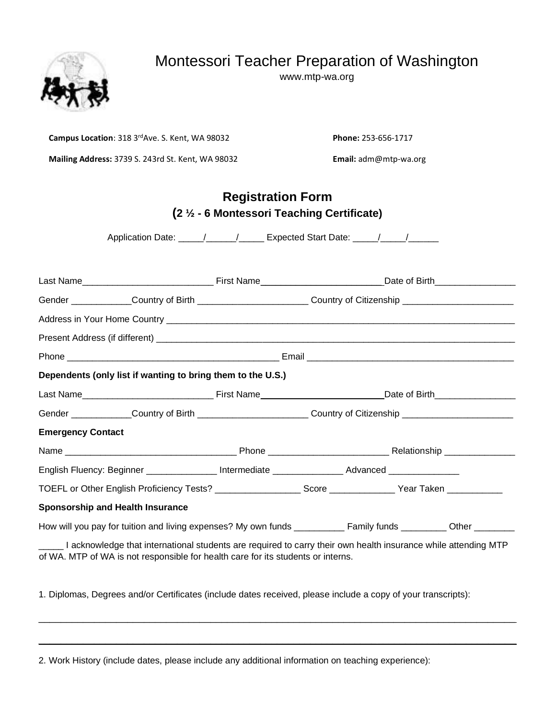# Montessori Teacher Preparation of Washington

www.mtp-wa.org



**Campus Location**: 318 3rdAve. S. Kent, WA 98032 **Phone:** 253-656-1717

**Mailing Address:** 3739 S. 243rd St. Kent, WA 98032 **Email:** adm@mtp-wa.org

# **Registration Form (2 ½ - 6 Montessori Teaching Certificate)**

Application Date: \_\_\_\_\_/\_\_\_\_\_\_/\_\_\_\_\_\_ Expected Start Date: \_\_\_\_\_/\_\_\_\_\_/\_\_\_\_\_\_\_\_\_

| Gender _____________Country of Birth ________________________Country of Citizenship _____________________                                                                                          |  |  |  |  |  |  |  |
|----------------------------------------------------------------------------------------------------------------------------------------------------------------------------------------------------|--|--|--|--|--|--|--|
|                                                                                                                                                                                                    |  |  |  |  |  |  |  |
|                                                                                                                                                                                                    |  |  |  |  |  |  |  |
|                                                                                                                                                                                                    |  |  |  |  |  |  |  |
| Dependents (only list if wanting to bring them to the U.S.)                                                                                                                                        |  |  |  |  |  |  |  |
|                                                                                                                                                                                                    |  |  |  |  |  |  |  |
| Gender ______________Country of Birth __________________________Country of Citizenship _______________________                                                                                     |  |  |  |  |  |  |  |
| <b>Emergency Contact</b>                                                                                                                                                                           |  |  |  |  |  |  |  |
|                                                                                                                                                                                                    |  |  |  |  |  |  |  |
| English Fluency: Beginner ________________Intermediate ________________Advanced _______________                                                                                                    |  |  |  |  |  |  |  |
| TOEFL or Other English Proficiency Tests? _____________________Score ______________Year Taken ____________                                                                                         |  |  |  |  |  |  |  |
| <b>Sponsorship and Health Insurance</b>                                                                                                                                                            |  |  |  |  |  |  |  |
|                                                                                                                                                                                                    |  |  |  |  |  |  |  |
| I acknowledge that international students are required to carry their own health insurance while attending MTP<br>of WA. MTP of WA is not responsible for health care for its students or interns. |  |  |  |  |  |  |  |

1. Diplomas, Degrees and/or Certificates (include dates received, please include a copy of your transcripts):

 $\mathcal{L}_\mathcal{L} = \{ \mathcal{L}_\mathcal{L} = \{ \mathcal{L}_\mathcal{L} = \{ \mathcal{L}_\mathcal{L} = \{ \mathcal{L}_\mathcal{L} = \{ \mathcal{L}_\mathcal{L} = \{ \mathcal{L}_\mathcal{L} = \{ \mathcal{L}_\mathcal{L} = \{ \mathcal{L}_\mathcal{L} = \{ \mathcal{L}_\mathcal{L} = \{ \mathcal{L}_\mathcal{L} = \{ \mathcal{L}_\mathcal{L} = \{ \mathcal{L}_\mathcal{L} = \{ \mathcal{L}_\mathcal{L} = \{ \mathcal{L}_\mathcal{$ 

 $\overline{\phantom{a}}$  , and the contribution of the contribution of the contribution of the contribution of the contribution of the contribution of the contribution of the contribution of the contribution of the contribution of the

2. Work History (include dates, please include any additional information on teaching experience):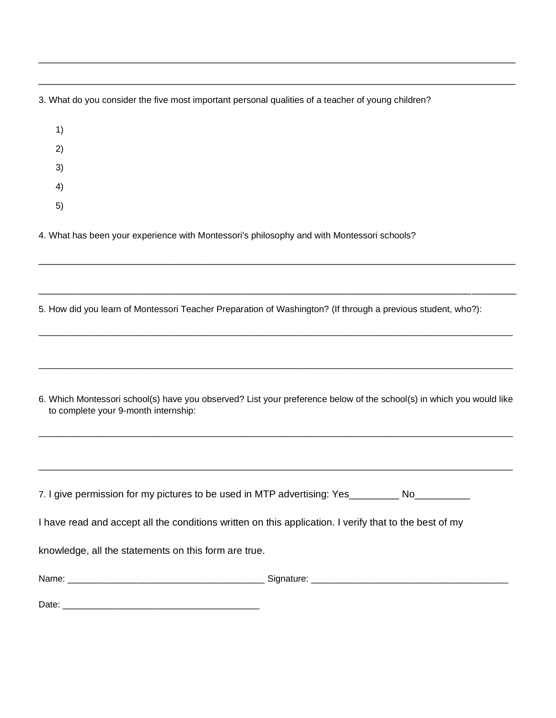3. What do you consider the five most important personal qualities of a teacher of young children?

\_\_\_\_\_\_\_\_\_\_\_\_\_\_\_\_\_\_\_\_\_\_\_\_\_\_\_\_\_\_\_\_\_\_\_\_\_\_\_\_\_\_\_\_\_\_\_\_\_\_\_\_\_\_\_\_\_\_\_\_\_\_\_\_\_\_\_\_\_\_\_\_\_\_\_\_\_\_\_\_\_\_\_\_\_\_

\_\_\_\_\_\_\_\_\_\_\_\_\_\_\_\_\_\_\_\_\_\_\_\_\_\_\_\_\_\_\_\_\_\_\_\_\_\_\_\_\_\_\_\_\_\_\_\_\_\_\_\_\_\_\_\_\_\_\_\_\_\_\_\_\_\_\_\_\_\_\_\_\_\_\_\_\_\_\_\_\_\_\_\_\_\_

- 1) 2) 3) 4)
- 5)

4. What has been your experience with Montessori's philosophy and with Montessori schools?

5. How did you learn of Montessori Teacher Preparation of Washington? (If through a previous student, who?):

\_\_\_\_\_\_\_\_\_\_\_\_\_\_\_\_\_\_\_\_\_\_\_\_\_\_\_\_\_\_\_\_\_\_\_\_\_\_\_\_\_\_\_\_\_\_\_\_\_\_\_\_\_\_\_\_\_\_\_\_\_\_\_\_\_\_\_\_\_\_\_\_\_\_\_\_\_\_\_\_\_\_\_\_\_\_

\_\_\_\_\_\_\_\_\_\_\_\_\_\_\_\_\_\_\_\_\_\_\_\_\_\_\_\_\_\_\_\_\_\_\_\_\_\_\_\_\_\_\_\_\_\_\_\_\_\_\_\_\_\_\_\_\_\_\_\_\_\_\_\_\_\_\_\_\_\_\_\_\_\_\_\_\_\_\_\_\_\_\_\_\_\_

 $\_$  ,  $\_$  ,  $\_$  ,  $\_$  ,  $\_$  ,  $\_$  ,  $\_$  ,  $\_$  ,  $\_$  ,  $\_$  ,  $\_$  ,  $\_$  ,  $\_$  ,  $\_$  ,  $\_$  ,  $\_$  ,  $\_$  ,  $\_$  ,  $\_$  ,  $\_$  ,  $\_$  ,  $\_$  ,  $\_$  ,  $\_$  ,  $\_$  ,  $\_$  ,  $\_$  ,  $\_$  ,  $\_$  ,  $\_$  ,  $\_$  ,  $\_$  ,  $\_$  ,  $\_$  ,  $\_$  ,  $\_$  ,  $\_$  ,

 $\_$  ,  $\_$  ,  $\_$  ,  $\_$  ,  $\_$  ,  $\_$  ,  $\_$  ,  $\_$  ,  $\_$  ,  $\_$  ,  $\_$  ,  $\_$  ,  $\_$  ,  $\_$  ,  $\_$  ,  $\_$  ,  $\_$  ,  $\_$  ,  $\_$  ,  $\_$  ,  $\_$  ,  $\_$  ,  $\_$  ,  $\_$  ,  $\_$  ,  $\_$  ,  $\_$  ,  $\_$  ,  $\_$  ,  $\_$  ,  $\_$  ,  $\_$  ,  $\_$  ,  $\_$  ,  $\_$  ,  $\_$  ,  $\_$  ,

| to complete your 9-month internship:                                                                   | 6. Which Montessori school(s) have you observed? List your preference below of the school(s) in which you would like |
|--------------------------------------------------------------------------------------------------------|----------------------------------------------------------------------------------------------------------------------|
|                                                                                                        |                                                                                                                      |
| 7. I give permission for my pictures to be used in MTP advertising: Yes _________ No                   |                                                                                                                      |
| I have read and accept all the conditions written on this application. I verify that to the best of my |                                                                                                                      |
| knowledge, all the statements on this form are true.                                                   |                                                                                                                      |
|                                                                                                        |                                                                                                                      |

Date: \_\_\_\_\_\_\_\_\_\_\_\_\_\_\_\_\_\_\_\_\_\_\_\_\_\_\_\_\_\_\_\_\_\_\_\_\_\_\_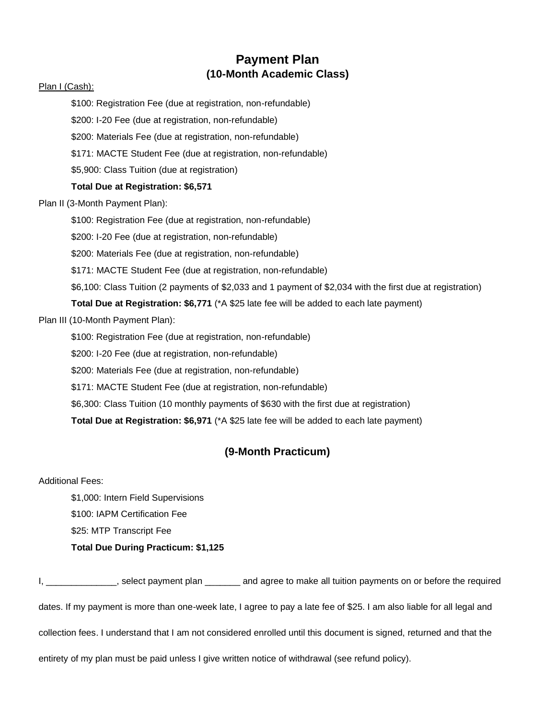### **Payment Plan (10-Month Academic Class)**

#### Plan I (Cash):

\$100: Registration Fee (due at registration, non-refundable)

\$200: I-20 Fee (due at registration, non-refundable)

\$200: Materials Fee (due at registration, non-refundable)

\$171: MACTE Student Fee (due at registration, non-refundable)

\$5,900: Class Tuition (due at registration)

#### **Total Due at Registration: \$6,571**

Plan II (3-Month Payment Plan):

\$100: Registration Fee (due at registration, non-refundable)

\$200: I-20 Fee (due at registration, non-refundable)

\$200: Materials Fee (due at registration, non-refundable)

\$171: MACTE Student Fee (due at registration, non-refundable)

\$6,100: Class Tuition (2 payments of \$2,033 and 1 payment of \$2,034 with the first due at registration)

**Total Due at Registration: \$6,771** (\*A \$25 late fee will be added to each late payment)

Plan III (10-Month Payment Plan):

\$100: Registration Fee (due at registration, non-refundable)

\$200: I-20 Fee (due at registration, non-refundable)

\$200: Materials Fee (due at registration, non-refundable)

\$171: MACTE Student Fee (due at registration, non-refundable)

\$6,300: Class Tuition (10 monthly payments of \$630 with the first due at registration)

**Total Due at Registration: \$6,971** (\*A \$25 late fee will be added to each late payment)

### **(9-Month Practicum)**

Additional Fees:

\$1,000: Intern Field Supervisions \$100: IAPM Certification Fee \$25: MTP Transcript Fee **Total Due During Practicum: \$1,125** 

I, Select payment plan and agree to make all tuition payments on or before the required dates. If my payment is more than one-week late, I agree to pay a late fee of \$25. I am also liable for all legal and collection fees. I understand that I am not considered enrolled until this document is signed, returned and that the entirety of my plan must be paid unless I give written notice of withdrawal (see refund policy).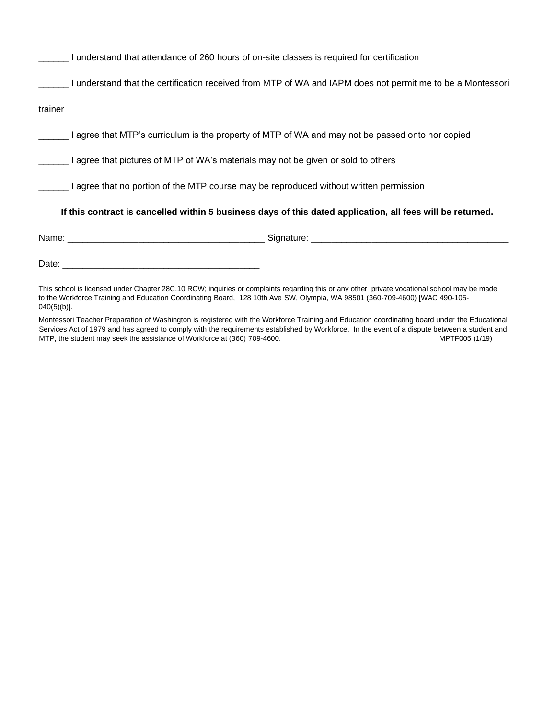| I understand that attendance of 260 hours of on-site classes is required for certification                                                                                                                                     |  |  |  |  |  |  |
|--------------------------------------------------------------------------------------------------------------------------------------------------------------------------------------------------------------------------------|--|--|--|--|--|--|
| I understand that the certification received from MTP of WA and IAPM does not permit me to be a Montessori                                                                                                                     |  |  |  |  |  |  |
| trainer                                                                                                                                                                                                                        |  |  |  |  |  |  |
| I agree that MTP's curriculum is the property of MTP of WA and may not be passed onto nor copied                                                                                                                               |  |  |  |  |  |  |
| I agree that pictures of MTP of WA's materials may not be given or sold to others                                                                                                                                              |  |  |  |  |  |  |
| Lagree that no portion of the MTP course may be reproduced without written permission                                                                                                                                          |  |  |  |  |  |  |
| If this contract is cancelled within 5 business days of this dated application, all fees will be returned.                                                                                                                     |  |  |  |  |  |  |
|                                                                                                                                                                                                                                |  |  |  |  |  |  |
|                                                                                                                                                                                                                                |  |  |  |  |  |  |
| This calculing the control of the Change COO 40 DOM: Included a considered as a considered and a set of the control of the constant of the constant of the constant of the constant of the constant of the constant of the con |  |  |  |  |  |  |

This school is licensed under Chapter 28C.10 RCW; inquiries or complaints regarding this or any other private vocational school may be made to the Workforce Training and Education Coordinating Board, 128 10th Ave SW, Olympia, WA 98501 (360-709-4600) [WAC 490-105- 040(5)(b)].

Montessori Teacher Preparation of Washington is registered with the Workforce Training and Education coordinating board under the Educational Services Act of 1979 and has agreed to comply with the requirements established by Workforce. In the event of a dispute between a student and MTP, the student may seek the assistance of Workforce at (360) 709-4600. MTP, the student may seek the assistance of Workforce at (360) 709-4600.